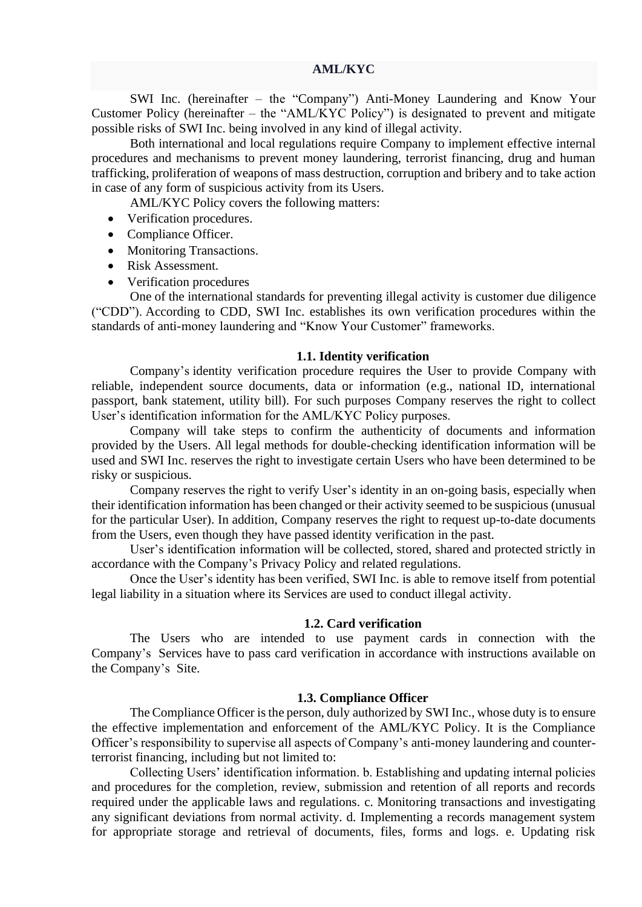SWI Inc. (hereinafter – the "Company") Anti-Money Laundering and Know Your Customer Policy (hereinafter – the "AML/KYC Policy") is designated to prevent and mitigate possible risks of SWI Inc. being involved in any kind of illegal activity.

Both international and local regulations require Company to implement effective internal procedures and mechanisms to prevent money laundering, terrorist financing, drug and human trafficking, proliferation of weapons of mass destruction, corruption and bribery and to take action in case of any form of suspicious activity from its Users.

AML/KYC Policy covers the following matters:

- Verification procedures.
- Compliance Officer.
- Monitoring Transactions.
- Risk Assessment.
- Verification procedures

One of the international standards for preventing illegal activity is customer due diligence ("CDD"). According to CDD, SWI Inc. establishes its own verification procedures within the standards of anti-money laundering and "Know Your Customer" frameworks.

#### **1.1. Identity verification**

Company's identity verification procedure requires the User to provide Company with reliable, independent source documents, data or information (e.g., national ID, international passport, bank statement, utility bill). For such purposes Company reserves the right to collect User's identification information for the AML/KYC Policy purposes.

Company will take steps to confirm the authenticity of documents and information provided by the Users. All legal methods for double-checking identification information will be used and SWI Inc. reserves the right to investigate certain Users who have been determined to be risky or suspicious.

Company reserves the right to verify User's identity in an on-going basis, especially when their identification information has been changed or their activity seemed to be suspicious (unusual for the particular User). In addition, Company reserves the right to request up-to-date documents from the Users, even though they have passed identity verification in the past.

User's identification information will be collected, stored, shared and protected strictly in accordance with the Company's Privacy Policy and related regulations.

Once the User's identity has been verified, SWI Inc. is able to remove itself from potential legal liability in a situation where its Services are used to conduct illegal activity.

#### **1.2. Card verification**

The Users who are intended to use payment cards in connection with the Company's Services have to pass card verification in accordance with instructions available on the Company's Site.

#### **1.3. Compliance Officer**

The Compliance Officer is the person, duly authorized by SWI Inc., whose duty is to ensure the effective implementation and enforcement of the AML/KYC Policy. It is the Compliance Officer's responsibility to supervise all aspects of Company's anti-money laundering and counterterrorist financing, including but not limited to:

Collecting Users' identification information. b. Establishing and updating internal policies and procedures for the completion, review, submission and retention of all reports and records required under the applicable laws and regulations. c. Monitoring transactions and investigating any significant deviations from normal activity. d. Implementing a records management system for appropriate storage and retrieval of documents, files, forms and logs. e. Updating risk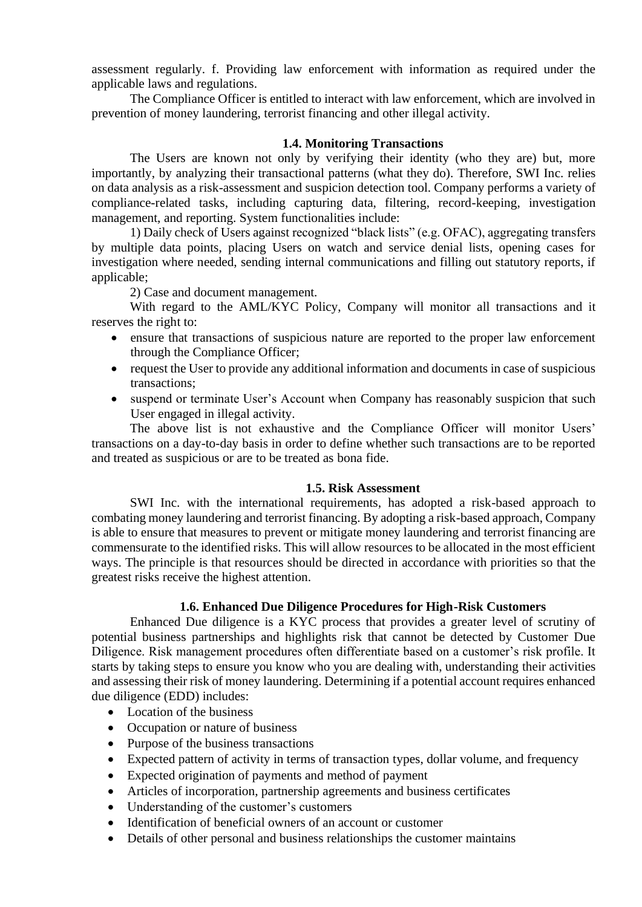assessment regularly. f. Providing law enforcement with information as required under the applicable laws and regulations.

The Compliance Officer is entitled to interact with law enforcement, which are involved in prevention of money laundering, terrorist financing and other illegal activity.

# **1.4. Monitoring Transactions**

The Users are known not only by verifying their identity (who they are) but, more importantly, by analyzing their transactional patterns (what they do). Therefore, SWI Inc. relies on data analysis as a risk-assessment and suspicion detection tool. Company performs a variety of compliance-related tasks, including capturing data, filtering, record-keeping, investigation management, and reporting. System functionalities include:

1) Daily check of Users against recognized "black lists" (e.g. OFAC), aggregating transfers by multiple data points, placing Users on watch and service denial lists, opening cases for investigation where needed, sending internal communications and filling out statutory reports, if applicable;

2) Case and document management.

With regard to the AML/KYC Policy, Company will monitor all transactions and it reserves the right to:

- ensure that transactions of suspicious nature are reported to the proper law enforcement through the Compliance Officer;
- request the User to provide any additional information and documents in case of suspicious transactions;
- suspend or terminate User's Account when Company has reasonably suspicion that such User engaged in illegal activity.

The above list is not exhaustive and the Compliance Officer will monitor Users' transactions on a day-to-day basis in order to define whether such transactions are to be reported and treated as suspicious or are to be treated as bona fide.

# **1.5. Risk Assessment**

SWI Inc. with the international requirements, has adopted a risk-based approach to combating money laundering and terrorist financing. By adopting a risk-based approach, Company is able to ensure that measures to prevent or mitigate money laundering and terrorist financing are commensurate to the identified risks. This will allow resources to be allocated in the most efficient ways. The principle is that resources should be directed in accordance with priorities so that the greatest risks receive the highest attention.

### **1.6. Enhanced Due Diligence Procedures for High-Risk Customers**

Enhanced Due diligence is a KYC process that provides a greater level of scrutiny of potential business partnerships and highlights risk that cannot be detected by Customer Due Diligence. Risk management procedures often differentiate based on a customer's risk profile. It starts by taking steps to ensure you know who you are dealing with, understanding their activities and assessing their risk of money laundering. Determining if a potential account requires enhanced due diligence (EDD) includes:

- Location of the business
- Occupation or nature of business
- Purpose of the business transactions
- Expected pattern of activity in terms of transaction types, dollar volume, and frequency
- Expected origination of payments and method of payment
- Articles of incorporation, partnership agreements and business certificates
- Understanding of the customer's customers
- Identification of beneficial owners of an account or customer
- Details of other personal and business relationships the customer maintains